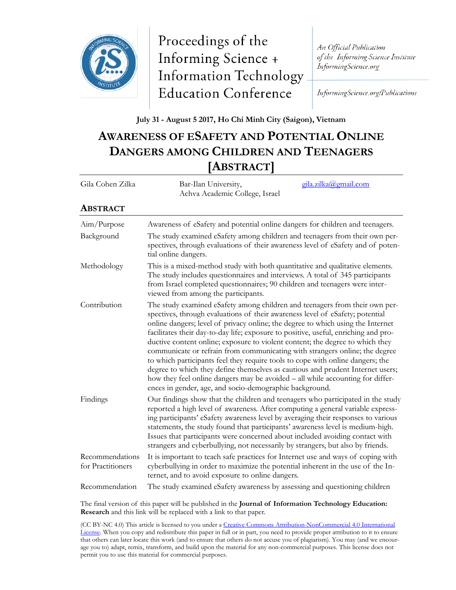

Proceedings of the Informing Science + **Information Technology Education Conference** 

An Official Publication of the Informing Science Institute InformingScience.org

InformingScience.org/Publications

## **July 31 - August 5 2017, Ho Chi Minh City (Saigon), Vietnam**

## **AWARENESS OF ESAFETY AND POTENTIAL ONLINE DANGERS AMONG CHILDREN AND TEENAGERS [ABSTRACT]**

| Gila Cohen Zilka                     | gila.zilka@gmail.com<br>Bar-Ilan University,<br>Achva Academic College, Israel                                                                                                                                                                                                                                                                                                                                                                                                                                                                                                                                                                                                                                                                                                                                          |  |
|--------------------------------------|-------------------------------------------------------------------------------------------------------------------------------------------------------------------------------------------------------------------------------------------------------------------------------------------------------------------------------------------------------------------------------------------------------------------------------------------------------------------------------------------------------------------------------------------------------------------------------------------------------------------------------------------------------------------------------------------------------------------------------------------------------------------------------------------------------------------------|--|
| <b>ABSTRACT</b>                      |                                                                                                                                                                                                                                                                                                                                                                                                                                                                                                                                                                                                                                                                                                                                                                                                                         |  |
| Aim/Purpose                          | Awareness of eSafety and potential online dangers for children and teenagers.                                                                                                                                                                                                                                                                                                                                                                                                                                                                                                                                                                                                                                                                                                                                           |  |
| Background                           | The study examined eSafety among children and teenagers from their own per-<br>spectives, through evaluations of their awareness level of eSafety and of poten-<br>tial online dangers.                                                                                                                                                                                                                                                                                                                                                                                                                                                                                                                                                                                                                                 |  |
| Methodology                          | This is a mixed-method study with both quantitative and qualitative elements.<br>The study includes questionnaires and interviews. A total of 345 participants<br>from Israel completed questionnaires; 90 children and teenagers were inter-<br>viewed from among the participants.                                                                                                                                                                                                                                                                                                                                                                                                                                                                                                                                    |  |
| Contribution                         | The study examined eSafety among children and teenagers from their own per-<br>spectives, through evaluations of their awareness level of eSafety; potential<br>online dangers; level of privacy online; the degree to which using the Internet<br>facilitates their day-to-day life; exposure to positive, useful, enriching and pro-<br>ductive content online; exposure to violent content; the degree to which they<br>communicate or refrain from communicating with strangers online; the degree<br>to which participants feel they require tools to cope with online dangers; the<br>degree to which they define themselves as cautious and prudent Internet users;<br>how they feel online dangers may be avoided - all while accounting for differ-<br>ences in gender, age, and socio-demographic background. |  |
| Findings                             | Our findings show that the children and teenagers who participated in the study<br>reported a high level of awareness. After computing a general variable express-<br>ing participants' eSafety awareness level by averaging their responses to various<br>statements, the study found that participants' awareness level is medium-high.<br>Issues that participants were concerned about included avoiding contact with<br>strangers and cyberbullying, not necessarily by strangers, but also by friends.                                                                                                                                                                                                                                                                                                            |  |
| Recommendations<br>for Practitioners | It is important to teach safe practices for Internet use and ways of coping with<br>cyberbullying in order to maximize the potential inherent in the use of the In-<br>ternet, and to avoid exposure to online dangers.                                                                                                                                                                                                                                                                                                                                                                                                                                                                                                                                                                                                 |  |
| Recommendation                       | The study examined eSafety awareness by assessing and questioning children                                                                                                                                                                                                                                                                                                                                                                                                                                                                                                                                                                                                                                                                                                                                              |  |

The final version of this paper will be published in the **Journal of Information Technology Education: Research** and this link will be replaced with a link to that paper.

(CC BY-NC 4.0) This article is licensed to you under a [Creative Commons Attribution-NonCommercial 4.0 International](https://creativecommons.org/licenses/by-nc/4.0/)  [License.](https://creativecommons.org/licenses/by-nc/4.0/) When you copy and redistribute this paper in full or in part, you need to provide proper attribution to it to ensure that others can later locate this work (and to ensure that others do not accuse you of plagiarism). You may (and we encourage you to) adapt, remix, transform, and build upon the material for any non-commercial purposes. This license does not permit you to use this material for commercial purposes.